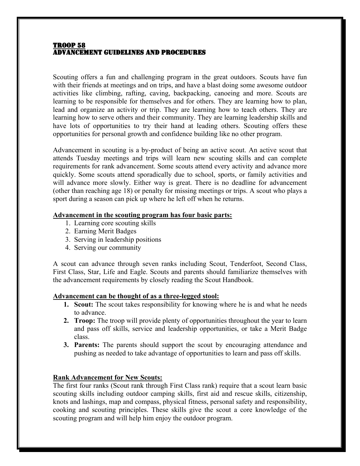### TROOP 58 ADVANCEMENT GUIDELINES AND PROCEDURES

Scouting offers a fun and challenging program in the great outdoors. Scouts have fun with their friends at meetings and on trips, and have a blast doing some awesome outdoor activities like climbing, rafting, caving, backpacking, canoeing and more. Scouts are learning to be responsible for themselves and for others. They are learning how to plan, lead and organize an activity or trip. They are learning how to teach others. They are learning how to serve others and their community. They are learning leadership skills and have lots of opportunities to try their hand at leading others. Scouting offers these opportunities for personal growth and confidence building like no other program.

Advancement in scouting is a by-product of being an active scout. An active scout that attends Tuesday meetings and trips will learn new scouting skills and can complete requirements for rank advancement. Some scouts attend every activity and advance more quickly. Some scouts attend sporadically due to school, sports, or family activities and will advance more slowly. Either way is great. There is no deadline for advancement (other than reaching age 18) or penalty for missing meetings or trips. A scout who plays a sport during a season can pick up where he left off when he returns.

## **Advancement in the scouting program has four basic parts:**

- 1. Learning core scouting skills
- 2. Earning Merit Badges
- 3. Serving in leadership positions
- 4. Serving our community

A scout can advance through seven ranks including Scout, Tenderfoot, Second Class, First Class, Star, Life and Eagle. Scouts and parents should familiarize themselves with the advancement requirements by closely reading the Scout Handbook.

# **Advancement can be thought of as a three-legged stool:**

- **1. Scout:** The scout takes responsibility for knowing where he is and what he needs to advance.
- **2. Troop:** The troop will provide plenty of opportunities throughout the year to learn and pass off skills, service and leadership opportunities, or take a Merit Badge class.
- **3. Parents:** The parents should support the scout by encouraging attendance and pushing as needed to take advantage of opportunities to learn and pass off skills.

# **Rank Advancement for New Scouts:**

The first four ranks (Scout rank through First Class rank) require that a scout learn basic scouting skills including outdoor camping skills, first aid and rescue skills, citizenship, knots and lashings, map and compass, physical fitness, personal safety and responsibility, cooking and scouting principles. These skills give the scout a core knowledge of the scouting program and will help him enjoy the outdoor program.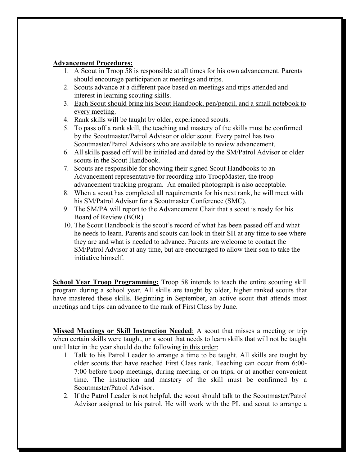## **Advancement Procedures:**

- 1. A Scout in Troop 58 is responsible at all times for his own advancement. Parents should encourage participation at meetings and trips.
- 2. Scouts advance at a different pace based on meetings and trips attended and interest in learning scouting skills.
- 3. Each Scout should bring his Scout Handbook, pen/pencil, and a small notebook to every meeting.
- 4. Rank skills will be taught by older, experienced scouts.
- 5. To pass off a rank skill, the teaching and mastery of the skills must be confirmed by the Scoutmaster/Patrol Advisor or older scout. Every patrol has two Scoutmaster/Patrol Advisors who are available to review advancement.
- 6. All skills passed off will be initialed and dated by the SM/Patrol Advisor or older scouts in the Scout Handbook.
- 7. Scouts are responsible for showing their signed Scout Handbooks to an Advancement representative for recording into TroopMaster, the troop advancement tracking program. An emailed photograph is also acceptable.
- 8. When a scout has completed all requirements for his next rank, he will meet with his SM/Patrol Advisor for a Scoutmaster Conference (SMC).
- 9. The SM/PA will report to the Advancement Chair that a scout is ready for his Board of Review (BOR).
- 10. The Scout Handbook is the scout's record of what has been passed off and what he needs to learn. Parents and scouts can look in their SH at any time to see where they are and what is needed to advance. Parents are welcome to contact the SM/Patrol Advisor at any time, but are encouraged to allow their son to take the initiative himself.

**School Year Troop Programming:** Troop 58 intends to teach the entire scouting skill program during a school year. All skills are taught by older, higher ranked scouts that have mastered these skills. Beginning in September, an active scout that attends most meetings and trips can advance to the rank of First Class by June.

**Missed Meetings or Skill Instruction Needed**: A scout that misses a meeting or trip when certain skills were taught, or a scout that needs to learn skills that will not be taught until later in the year should do the following in this order:

- 1. Talk to his Patrol Leader to arrange a time to be taught. All skills are taught by older scouts that have reached First Class rank. Teaching can occur from 6:00- 7:00 before troop meetings, during meeting, or on trips, or at another convenient time. The instruction and mastery of the skill must be confirmed by a Scoutmaster/Patrol Advisor.
- 2. If the Patrol Leader is not helpful, the scout should talk to the Scoutmaster/Patrol Advisor assigned to his patrol. He will work with the PL and scout to arrange a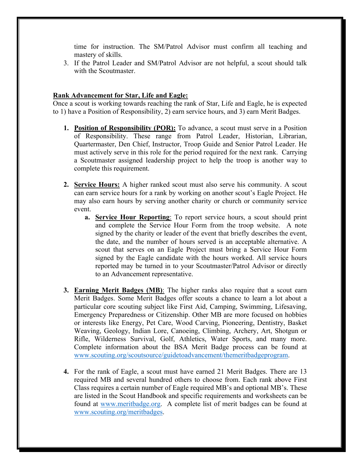time for instruction. The SM/Patrol Advisor must confirm all teaching and mastery of skills.

3. If the Patrol Leader and SM/Patrol Advisor are not helpful, a scout should talk with the Scoutmaster.

## **Rank Advancement for Star, Life and Eagle:**

Once a scout is working towards reaching the rank of Star, Life and Eagle, he is expected to 1) have a Position of Responsibility, 2) earn service hours, and 3) earn Merit Badges.

- **1. Position of Responsibility (POR):** To advance, a scout must serve in a Position of Responsibility. These range from Patrol Leader, Historian, Librarian, Quartermaster, Den Chief, Instructor, Troop Guide and Senior Patrol Leader. He must actively serve in this role for the period required for the next rank. Carrying a Scoutmaster assigned leadership project to help the troop is another way to complete this requirement.
- **2. Service Hours:** A higher ranked scout must also serve his community. A scout can earn service hours for a rank by working on another scout's Eagle Project. He may also earn hours by serving another charity or church or community service event.
	- **a. Service Hour Reporting**: To report service hours, a scout should print and complete the Service Hour Form from the troop website. A note signed by the charity or leader of the event that briefly describes the event, the date, and the number of hours served is an acceptable alternative. A scout that serves on an Eagle Project must bring a Service Hour Form signed by the Eagle candidate with the hours worked. All service hours reported may be turned in to your Scoutmaster/Patrol Advisor or directly to an Advancement representative.
- **3. Earning Merit Badges (MB)**: The higher ranks also require that a scout earn Merit Badges. Some Merit Badges offer scouts a chance to learn a lot about a particular core scouting subject like First Aid, Camping, Swimming, Lifesaving, Emergency Preparedness or Citizenship. Other MB are more focused on hobbies or interests like Energy, Pet Care, Wood Carving, Pioneering, Dentistry, Basket Weaving, Geology, Indian Lore, Canoeing, Climbing, Archery, Art, Shotgun or Rifle, Wilderness Survival, Golf, Athletics, Water Sports, and many more. Complete information about the BSA Merit Badge process can be found at www.scouting.org/scoutsource/guidetoadvancement/themeritbadgeprogram.
- **4.** For the rank of Eagle, a scout must have earned 21 Merit Badges. There are 13 required MB and several hundred others to choose from. Each rank above First Class requires a certain number of Eagle required MB's and optional MB's. These are listed in the Scout Handbook and specific requirements and worksheets can be found at www.meritbadge.org. A complete list of merit badges can be found at www.scouting.org/meritbadges.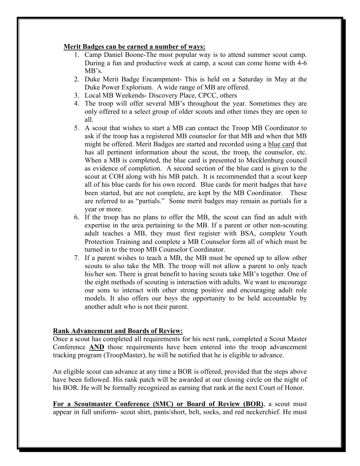## **Merit Badges can be earned a number of ways:**

- 1. Camp Daniel Boone-The most popular way is to attend summer scout camp. During a fun and productive week at camp, a scout can come home with 4-6 MB's.
- 2. Duke Merit Badge Encampment- This is held on a Saturday in May at the Duke Power Explorium. A wide range of MB are offered.
- 3. Local MB Weekends- Discovery Place, CPCC, others
- 4. The troop will offer several MB's throughout the year. Sometimes they are only offered to a select group of older scouts and other times they are open to all.
- 5. A scout that wishes to start a MB can contact the Troop MB Coordinator to ask if the troop has a registered MB counselor for that MB and when that MB might be offered. Merit Badges are started and recorded using a blue card that has all pertinent information about the scout, the troop, the counselor, etc. When a MB is completed, the blue card is presented to Mecklenburg council as evidence of completion. A second section of the blue card is given to the scout at COH along with his MB patch. It is recommended that a scout keep all of his blue cards for his own record. Blue cards for merit badges that have been started, but are not complete, are kept by the MB Coordinator. These are referred to as "partials." Some merit badges may remain as partials for a year or more.
- 6. If the troop has no plans to offer the MB, the scout can find an adult with expertise in the area pertaining to the MB. If a parent or other non-scouting adult teaches a MB, they must first register with BSA, complete Youth Protection Training and complete a MB Counselor form all of which must be turned in to the troop MB Counselor Coordinator.
- 7. If a parent wishes to teach a MB, the MB must be opened up to allow other scouts to also take the MB. The troop will not allow a parent to only teach his/her son. There is great benefit to having scouts take MB's together. One of the eight methods of scouting is interaction with adults. We want to encourage our sons to interact with other strong positive and encouraging adult role models. It also offers our boys the opportunity to be held accountable by another adult who is not their parent.

# **Rank Advancement and Boards of Review:**

Once a scout has completed all requirements for his next rank, completed a Scout Master Conference **AND** those requirements have been entered into the troop advancement tracking program (TroopMaster), he will be notified that he is eligible to advance.

An eligible scout can advance at any time a BOR is offered, provided that the steps above have been followed. His rank patch will be awarded at our closing circle on the night of his BOR. He will be formally recognized as earning that rank at the next Court of Honor.

**For a Scoutmaster Conference (SMC) or Board of Review (BOR)**, a scout must appear in full uniform- scout shirt, pants/short, belt, socks, and red neckerchief. He must